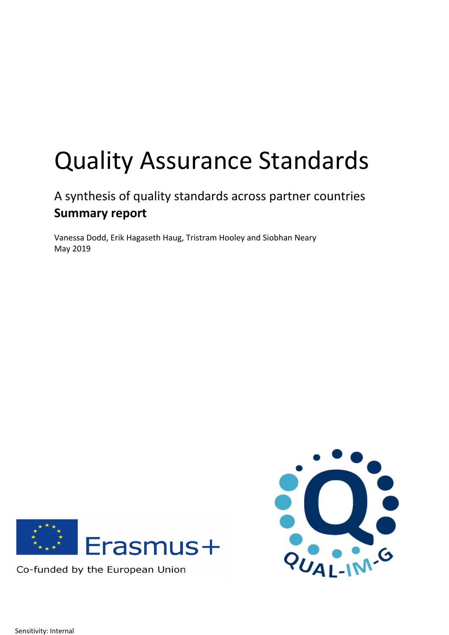# Quality Assurance Standards

# A synthesis of quality standards across partner countries **Summary report**

Vanessa Dodd, Erik Hagaseth Haug, Tristram Hooley and Siobhan Neary May 2019



Co-funded by the European Union



Sensitivity: Internal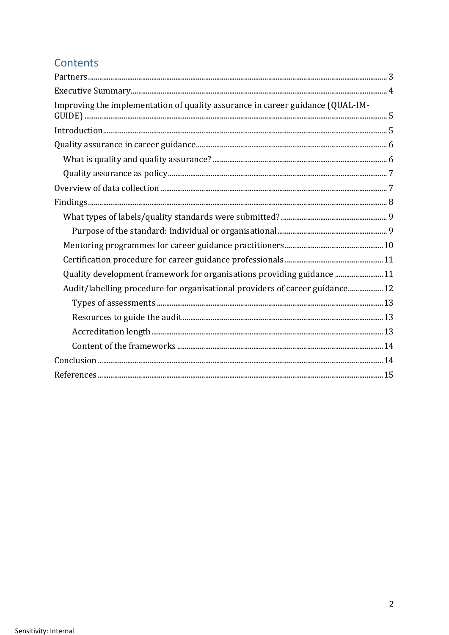# Contents

| Improving the implementation of quality assurance in career guidance (QUAL-IM- |  |
|--------------------------------------------------------------------------------|--|
|                                                                                |  |
|                                                                                |  |
|                                                                                |  |
|                                                                                |  |
|                                                                                |  |
|                                                                                |  |
|                                                                                |  |
|                                                                                |  |
|                                                                                |  |
|                                                                                |  |
| Quality development framework for organisations providing guidance 11          |  |
| Audit/labelling procedure for organisational providers of career guidance 12   |  |
|                                                                                |  |
|                                                                                |  |
|                                                                                |  |
|                                                                                |  |
|                                                                                |  |
|                                                                                |  |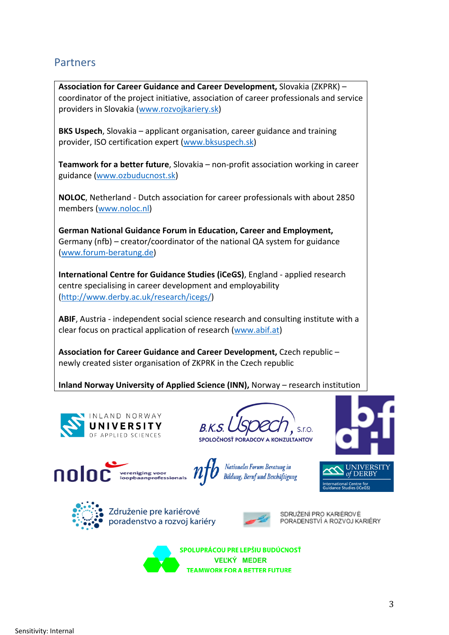# **Partners**

**Association for Career Guidance and Career Development,** Slovakia (ZKPRK) – coordinator of the project initiative, association of career professionals and service providers in Slovakia (www.rozvojkariery.sk)

**BKS Uspech**, Slovakia – applicant organisation, career guidance and training provider, ISO certification expert (www.bksuspech.sk)

**Teamwork for a better future**, Slovakia – non-profit association working in career guidance (www.ozbuducnost.sk)

**NOLOC**, Netherland - Dutch association for career professionals with about 2850 members (www.noloc.nl)

**German National Guidance Forum in Education, Career and Employment,**  Germany (nfb) – creator/coordinator of the national QA system for guidance (www.forum-beratung.de)

**International Centre for Guidance Studies (iCeGS)**, England - applied research centre specialising in career development and employability (http://www.derby.ac.uk/research/icegs/)

**ABIF**, Austria - independent social science research and consulting institute with a clear focus on practical application of research (www.abif.at)

**Association for Career Guidance and Career Development,** Czech republic – newly created sister organisation of ZKPRK in the Czech republic

**Inland Norway University of Applied Science (INN),** Norway – research institution



SPOLOČNOSŤ PORADCOV A KONZULTANTOV











Združenie pre kariérové poradenstvo a rozvoj kariéry



SDRUŽENÍ PRO KARIÉROVÉ PORADENSTVÍ A ROZVOJ KARIÉRY



SPOLUPRÁCOU PRE LEPŠIU BUDÚCNOSŤ **VEĽKÝ MEDER TEAMWORK FOR A BETTER FUTURE**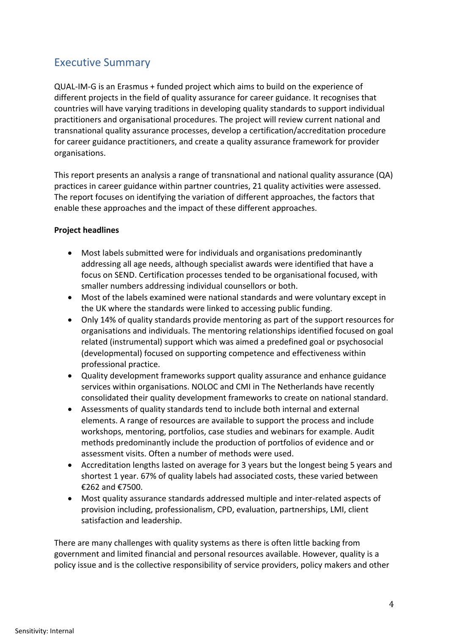# Executive Summary

QUAL-IM-G is an Erasmus + funded project which aims to build on the experience of different projects in the field of quality assurance for career guidance. It recognises that countries will have varying traditions in developing quality standards to support individual practitioners and organisational procedures. The project will review current national and transnational quality assurance processes, develop a certification/accreditation procedure for career guidance practitioners, and create a quality assurance framework for provider organisations.

This report presents an analysis a range of transnational and national quality assurance (QA) practices in career guidance within partner countries, 21 quality activities were assessed. The report focuses on identifying the variation of different approaches, the factors that enable these approaches and the impact of these different approaches.

#### **Project headlines**

- Most labels submitted were for individuals and organisations predominantly addressing all age needs, although specialist awards were identified that have a focus on SEND. Certification processes tended to be organisational focused, with smaller numbers addressing individual counsellors or both.
- Most of the labels examined were national standards and were voluntary except in the UK where the standards were linked to accessing public funding.
- Only 14% of quality standards provide mentoring as part of the support resources for organisations and individuals. The mentoring relationships identified focused on goal related (instrumental) support which was aimed a predefined goal or psychosocial (developmental) focused on supporting competence and effectiveness within professional practice.
- Quality development frameworks support quality assurance and enhance guidance services within organisations. NOLOC and CMI in The Netherlands have recently consolidated their quality development frameworks to create on national standard.
- Assessments of quality standards tend to include both internal and external elements. A range of resources are available to support the process and include workshops, mentoring, portfolios, case studies and webinars for example. Audit methods predominantly include the production of portfolios of evidence and or assessment visits. Often a number of methods were used.
- Accreditation lengths lasted on average for 3 years but the longest being 5 years and shortest 1 year. 67% of quality labels had associated costs, these varied between €262 and €7500.
- Most quality assurance standards addressed multiple and inter-related aspects of provision including, professionalism, CPD, evaluation, partnerships, LMI, client satisfaction and leadership.

There are many challenges with quality systems as there is often little backing from government and limited financial and personal resources available. However, quality is a policy issue and is the collective responsibility of service providers, policy makers and other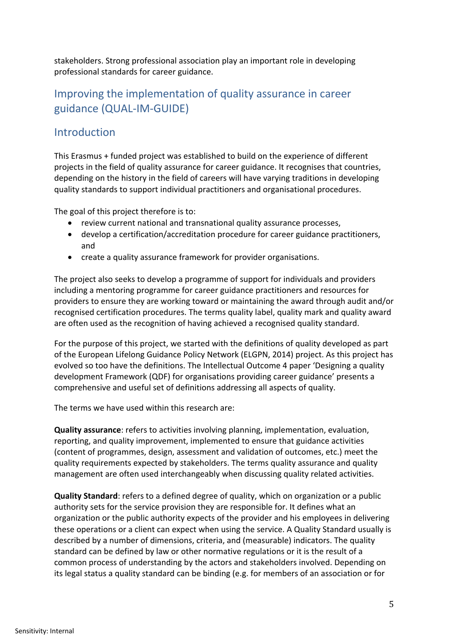stakeholders. Strong professional association play an important role in developing professional standards for career guidance.

# Improving the implementation of quality assurance in career guidance (QUAL-IM-GUIDE)

# **Introduction**

This Erasmus + funded project was established to build on the experience of different projects in the field of quality assurance for career guidance. It recognises that countries, depending on the history in the field of careers will have varying traditions in developing quality standards to support individual practitioners and organisational procedures.

The goal of this project therefore is to:

- review current national and transnational quality assurance processes,
- develop a certification/accreditation procedure for career guidance practitioners, and
- create a quality assurance framework for provider organisations.

The project also seeks to develop a programme of support for individuals and providers including a mentoring programme for career guidance practitioners and resources for providers to ensure they are working toward or maintaining the award through audit and/or recognised certification procedures. The terms quality label, quality mark and quality award are often used as the recognition of having achieved a recognised quality standard.

For the purpose of this project, we started with the definitions of quality developed as part of the European Lifelong Guidance Policy Network (ELGPN, 2014) project. As this project has evolved so too have the definitions. The Intellectual Outcome 4 paper 'Designing a quality development Framework (QDF) for organisations providing career guidance' presents a comprehensive and useful set of definitions addressing all aspects of quality.

The terms we have used within this research are:

**Quality assurance**: refers to activities involving planning, implementation, evaluation, reporting, and quality improvement, implemented to ensure that guidance activities (content of programmes, design, assessment and validation of outcomes, etc.) meet the quality requirements expected by stakeholders. The terms quality assurance and quality management are often used interchangeably when discussing quality related activities.

**Quality Standard**: refers to a defined degree of quality, which on organization or a public authority sets for the service provision they are responsible for. It defines what an organization or the public authority expects of the provider and his employees in delivering these operations or a client can expect when using the service. A Quality Standard usually is described by a number of dimensions, criteria, and (measurable) indicators. The quality standard can be defined by law or other normative regulations or it is the result of a common process of understanding by the actors and stakeholders involved. Depending on its legal status a quality standard can be binding (e.g. for members of an association or for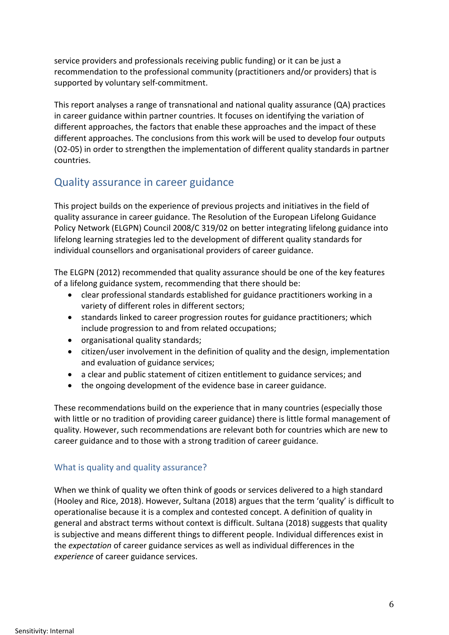service providers and professionals receiving public funding) or it can be just a recommendation to the professional community (practitioners and/or providers) that is supported by voluntary self-commitment.

This report analyses a range of transnational and national quality assurance (QA) practices in career guidance within partner countries. It focuses on identifying the variation of different approaches, the factors that enable these approaches and the impact of these different approaches. The conclusions from this work will be used to develop four outputs (O2-05) in order to strengthen the implementation of different quality standards in partner countries.

# Quality assurance in career guidance

This project builds on the experience of previous projects and initiatives in the field of quality assurance in career guidance. The Resolution of the European Lifelong Guidance Policy Network (ELGPN) Council 2008/C 319/02 on better integrating lifelong guidance into lifelong learning strategies led to the development of different quality standards for individual counsellors and organisational providers of career guidance.

The ELGPN (2012) recommended that quality assurance should be one of the key features of a lifelong guidance system, recommending that there should be:

- clear professional standards established for guidance practitioners working in a variety of different roles in different sectors;
- standards linked to career progression routes for guidance practitioners; which include progression to and from related occupations;
- organisational quality standards;
- citizen/user involvement in the definition of quality and the design, implementation and evaluation of guidance services;
- a clear and public statement of citizen entitlement to guidance services; and
- the ongoing development of the evidence base in career guidance.

These recommendations build on the experience that in many countries (especially those with little or no tradition of providing career guidance) there is little formal management of quality. However, such recommendations are relevant both for countries which are new to career guidance and to those with a strong tradition of career guidance.

#### What is quality and quality assurance?

When we think of quality we often think of goods or services delivered to a high standard (Hooley and Rice, 2018). However, Sultana (2018) argues that the term 'quality' is difficult to operationalise because it is a complex and contested concept. A definition of quality in general and abstract terms without context is difficult. Sultana (2018) suggests that quality is subjective and means different things to different people. Individual differences exist in the *expectation* of career guidance services as well as individual differences in the *experience* of career guidance services.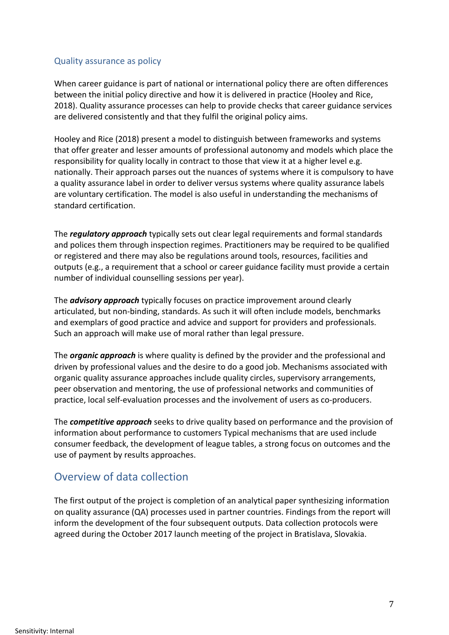#### Quality assurance as policy

When career guidance is part of national or international policy there are often differences between the initial policy directive and how it is delivered in practice (Hooley and Rice, 2018). Quality assurance processes can help to provide checks that career guidance services are delivered consistently and that they fulfil the original policy aims.

Hooley and Rice (2018) present a model to distinguish between frameworks and systems that offer greater and lesser amounts of professional autonomy and models which place the responsibility for quality locally in contract to those that view it at a higher level e.g. nationally. Their approach parses out the nuances of systems where it is compulsory to have a quality assurance label in order to deliver versus systems where quality assurance labels are voluntary certification. The model is also useful in understanding the mechanisms of standard certification.

The *regulatory approach* typically sets out clear legal requirements and formal standards and polices them through inspection regimes. Practitioners may be required to be qualified or registered and there may also be regulations around tools, resources, facilities and outputs (e.g., a requirement that a school or career guidance facility must provide a certain number of individual counselling sessions per year).

The *advisory approach* typically focuses on practice improvement around clearly articulated, but non-binding, standards. As such it will often include models, benchmarks and exemplars of good practice and advice and support for providers and professionals. Such an approach will make use of moral rather than legal pressure.

The *organic approach* is where quality is defined by the provider and the professional and driven by professional values and the desire to do a good job. Mechanisms associated with organic quality assurance approaches include quality circles, supervisory arrangements, peer observation and mentoring, the use of professional networks and communities of practice, local self-evaluation processes and the involvement of users as co-producers.

The *competitive approach* seeks to drive quality based on performance and the provision of information about performance to customers Typical mechanisms that are used include consumer feedback, the development of league tables, a strong focus on outcomes and the use of payment by results approaches.

## Overview of data collection

The first output of the project is completion of an analytical paper synthesizing information on quality assurance (QA) processes used in partner countries. Findings from the report will inform the development of the four subsequent outputs. Data collection protocols were agreed during the October 2017 launch meeting of the project in Bratislava, Slovakia.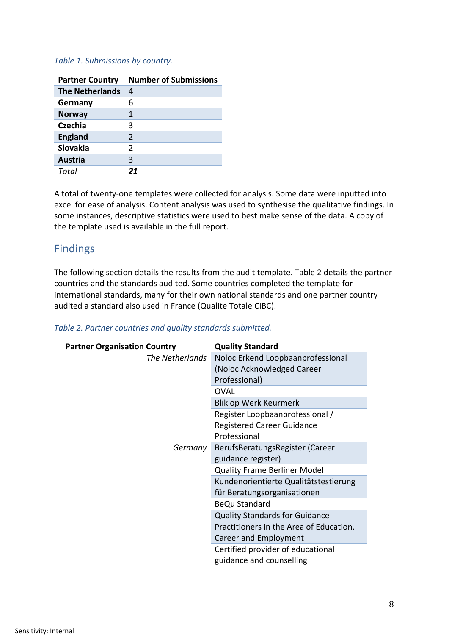#### *Table 1. Submissions by country.*

| <b>Partner Country</b> | <b>Number of Submissions</b> |
|------------------------|------------------------------|
| <b>The Netherlands</b> | 4                            |
| Germany                | 6                            |
| <b>Norway</b>          | 1                            |
| Czechia                | 3                            |
| <b>England</b>         | $\mathcal{P}$                |
| <b>Slovakia</b>        | $\mathcal{P}$                |
| <b>Austria</b>         | 3                            |
| Total                  | 21                           |

A total of twenty-one templates were collected for analysis. Some data were inputted into excel for ease of analysis. Content analysis was used to synthesise the qualitative findings. In some instances, descriptive statistics were used to best make sense of the data. A copy of the template used is available in the full report.

### Findings

The following section details the results from the audit template. Table 2 details the partner countries and the standards audited. Some countries completed the template for international standards, many for their own national standards and one partner country audited a standard also used in France (Qualite Totale CIBC).

| <b>Partner Organisation Country</b> | <b>Quality Standard</b>                 |
|-------------------------------------|-----------------------------------------|
| The Netherlands                     | Noloc Erkend Loopbaanprofessional       |
|                                     | (Noloc Acknowledged Career              |
|                                     | Professional)                           |
|                                     | OVAL                                    |
|                                     | Blik op Werk Keurmerk                   |
|                                     | Register Loopbaanprofessional /         |
|                                     | <b>Registered Career Guidance</b>       |
| Germany                             | Professional                            |
|                                     | BerufsBeratungsRegister (Career         |
|                                     | guidance register)                      |
|                                     | <b>Quality Frame Berliner Model</b>     |
|                                     | Kundenorientierte Qualitätstestierung   |
|                                     | für Beratungsorganisationen             |
|                                     | <b>BeQu Standard</b>                    |
|                                     | <b>Quality Standards for Guidance</b>   |
|                                     | Practitioners in the Area of Education, |
|                                     | Career and Employment                   |
|                                     | Certified provider of educational       |
|                                     | guidance and counselling                |

#### *Table 2. Partner countries and quality standards submitted.*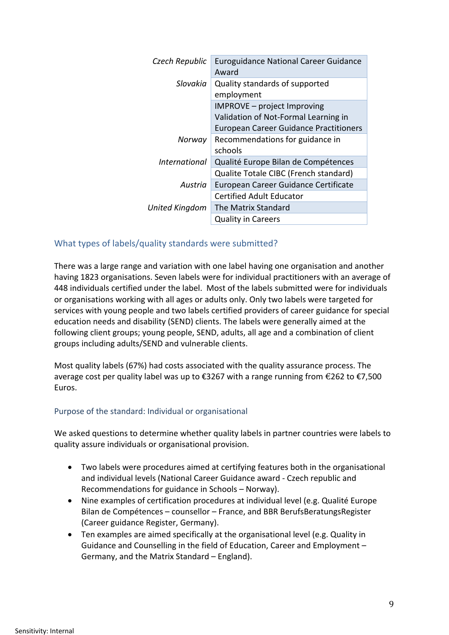| Czech Republic | <b>Euroguidance National Career Guidance</b><br>Award |
|----------------|-------------------------------------------------------|
| Slovakia       | Quality standards of supported<br>employment          |
|                | IMPROVE - project Improving                           |
|                | Validation of Not-Formal Learning in                  |
|                | <b>European Career Guidance Practitioners</b>         |
| Norway         | Recommendations for guidance in                       |
|                | schools                                               |
| International  | Qualité Europe Bilan de Compétences                   |
|                | Qualite Totale CIBC (French standard)                 |
| Austria        | European Career Guidance Certificate                  |
|                | <b>Certified Adult Educator</b>                       |
| United Kingdom | The Matrix Standard                                   |
|                | <b>Quality in Careers</b>                             |
|                |                                                       |

#### What types of labels/quality standards were submitted?

There was a large range and variation with one label having one organisation and another having 1823 organisations. Seven labels were for individual practitioners with an average of 448 individuals certified under the label. Most of the labels submitted were for individuals or organisations working with all ages or adults only. Only two labels were targeted for services with young people and two labels certified providers of career guidance for special education needs and disability (SEND) clients. The labels were generally aimed at the following client groups; young people, SEND, adults, all age and a combination of client groups including adults/SEND and vulnerable clients.

Most quality labels (67%) had costs associated with the quality assurance process. The average cost per quality label was up to  $\epsilon$ 3267 with a range running from  $\epsilon$ 262 to  $\epsilon$ 7,500 Euros.

#### Purpose of the standard: Individual or organisational

We asked questions to determine whether quality labels in partner countries were labels to quality assure individuals or organisational provision.

- Two labels were procedures aimed at certifying features both in the organisational and individual levels (National Career Guidance award - Czech republic and Recommendations for guidance in Schools – Norway).
- Nine examples of certification procedures at individual level (e.g. Qualité Europe Bilan de Compétences – counsellor – France, and BBR BerufsBeratungsRegister (Career guidance Register, Germany).
- Ten examples are aimed specifically at the organisational level (e.g. Quality in Guidance and Counselling in the field of Education, Career and Employment – Germany, and the Matrix Standard – England).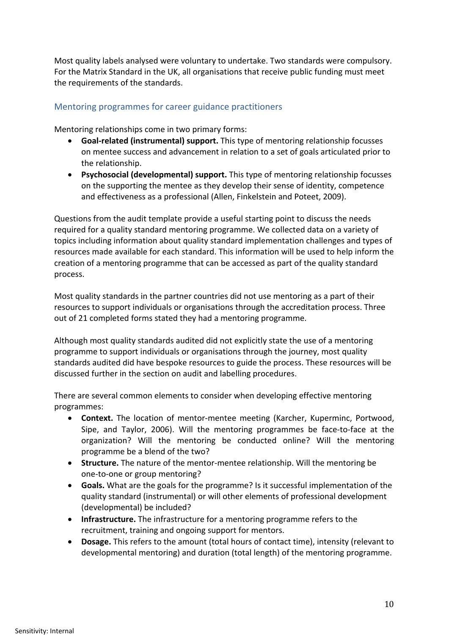Most quality labels analysed were voluntary to undertake. Two standards were compulsory. For the Matrix Standard in the UK, all organisations that receive public funding must meet the requirements of the standards.

#### Mentoring programmes for career guidance practitioners

Mentoring relationships come in two primary forms:

- **Goal-related (instrumental) support.** This type of mentoring relationship focusses on mentee success and advancement in relation to a set of goals articulated prior to the relationship.
- **Psychosocial (developmental) support.** This type of mentoring relationship focusses on the supporting the mentee as they develop their sense of identity, competence and effectiveness as a professional (Allen, Finkelstein and Poteet, 2009).

Questions from the audit template provide a useful starting point to discuss the needs required for a quality standard mentoring programme. We collected data on a variety of topics including information about quality standard implementation challenges and types of resources made available for each standard. This information will be used to help inform the creation of a mentoring programme that can be accessed as part of the quality standard process.

Most quality standards in the partner countries did not use mentoring as a part of their resources to support individuals or organisations through the accreditation process. Three out of 21 completed forms stated they had a mentoring programme.

Although most quality standards audited did not explicitly state the use of a mentoring programme to support individuals or organisations through the journey, most quality standards audited did have bespoke resources to guide the process. These resources will be discussed further in the section on audit and labelling procedures.

There are several common elements to consider when developing effective mentoring programmes:

- **Context.** The location of mentor-mentee meeting (Karcher, Kuperminc, Portwood, Sipe, and Taylor, 2006). Will the mentoring programmes be face-to-face at the organization? Will the mentoring be conducted online? Will the mentoring programme be a blend of the two?
- **Structure.** The nature of the mentor-mentee relationship. Will the mentoring be one-to-one or group mentoring?
- **Goals.** What are the goals for the programme? Is it successful implementation of the quality standard (instrumental) or will other elements of professional development (developmental) be included?
- **Infrastructure.** The infrastructure for a mentoring programme refers to the recruitment, training and ongoing support for mentors.
- **Dosage.** This refers to the amount (total hours of contact time), intensity (relevant to developmental mentoring) and duration (total length) of the mentoring programme.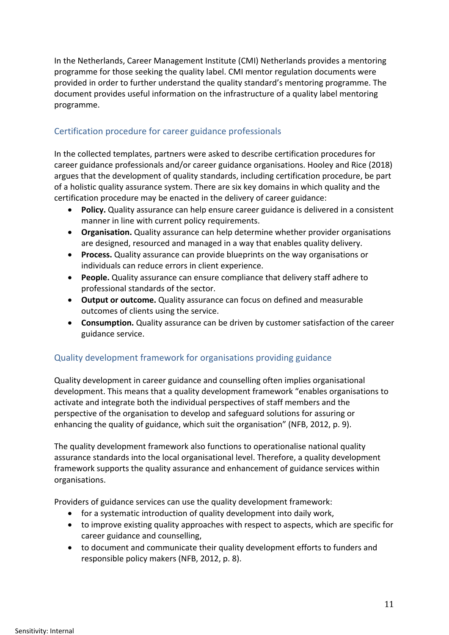In the Netherlands, Career Management Institute (CMI) Netherlands provides a mentoring programme for those seeking the quality label. CMI mentor regulation documents were provided in order to further understand the quality standard's mentoring programme. The document provides useful information on the infrastructure of a quality label mentoring programme.

#### Certification procedure for career guidance professionals

In the collected templates, partners were asked to describe certification procedures for career guidance professionals and/or career guidance organisations. Hooley and Rice (2018) argues that the development of quality standards, including certification procedure, be part of a holistic quality assurance system. There are six key domains in which quality and the certification procedure may be enacted in the delivery of career guidance:

- **Policy.** Quality assurance can help ensure career guidance is delivered in a consistent manner in line with current policy requirements.
- **Organisation.** Quality assurance can help determine whether provider organisations are designed, resourced and managed in a way that enables quality delivery.
- **Process.** Quality assurance can provide blueprints on the way organisations or individuals can reduce errors in client experience.
- **People.** Quality assurance can ensure compliance that delivery staff adhere to professional standards of the sector.
- **Output or outcome.** Quality assurance can focus on defined and measurable outcomes of clients using the service.
- **Consumption.** Quality assurance can be driven by customer satisfaction of the career guidance service.

#### Quality development framework for organisations providing guidance

Quality development in career guidance and counselling often implies organisational development. This means that a quality development framework "enables organisations to activate and integrate both the individual perspectives of staff members and the perspective of the organisation to develop and safeguard solutions for assuring or enhancing the quality of guidance, which suit the organisation" (NFB, 2012, p. 9).

The quality development framework also functions to operationalise national quality assurance standards into the local organisational level. Therefore, a quality development framework supports the quality assurance and enhancement of guidance services within organisations.

Providers of guidance services can use the quality development framework:

- for a systematic introduction of quality development into daily work,
- to improve existing quality approaches with respect to aspects, which are specific for career guidance and counselling,
- to document and communicate their quality development efforts to funders and responsible policy makers (NFB, 2012, p. 8).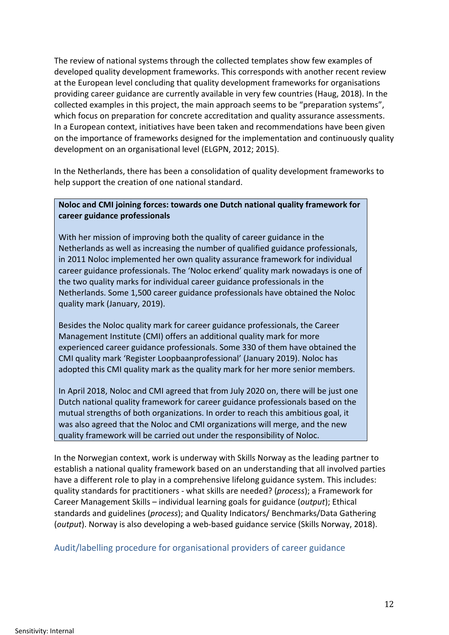The review of national systems through the collected templates show few examples of developed quality development frameworks. This corresponds with another recent review at the European level concluding that quality development frameworks for organisations providing career guidance are currently available in very few countries (Haug, 2018). In the collected examples in this project, the main approach seems to be "preparation systems", which focus on preparation for concrete accreditation and quality assurance assessments. In a European context, initiatives have been taken and recommendations have been given on the importance of frameworks designed for the implementation and continuously quality development on an organisational level (ELGPN, 2012; 2015).

In the Netherlands, there has been a consolidation of quality development frameworks to help support the creation of one national standard.

#### **Noloc and CMI joining forces: towards one Dutch national quality framework for career guidance professionals**

With her mission of improving both the quality of career guidance in the Netherlands as well as increasing the number of qualified guidance professionals, in 2011 Noloc implemented her own quality assurance framework for individual career guidance professionals. The 'Noloc erkend' quality mark nowadays is one of the two quality marks for individual career guidance professionals in the Netherlands. Some 1,500 career guidance professionals have obtained the Noloc quality mark (January, 2019).

Besides the Noloc quality mark for career guidance professionals, the Career Management Institute (CMI) offers an additional quality mark for more experienced career guidance professionals. Some 330 of them have obtained the CMI quality mark 'Register Loopbaanprofessional' (January 2019). Noloc has adopted this CMI quality mark as the quality mark for her more senior members.

In April 2018, Noloc and CMI agreed that from July 2020 on, there will be just one Dutch national quality framework for career guidance professionals based on the mutual strengths of both organizations. In order to reach this ambitious goal, it was also agreed that the Noloc and CMI organizations will merge, and the new quality framework will be carried out under the responsibility of Noloc.

In the Norwegian context, work is underway with Skills Norway as the leading partner to establish a national quality framework based on an understanding that all involved parties have a different role to play in a comprehensive lifelong guidance system. This includes: quality standards for practitioners - what skills are needed? (*process*); a Framework for Career Management Skills – individual learning goals for guidance (*output*); Ethical standards and guidelines (*process*); and Quality Indicators/ Benchmarks/Data Gathering (*output*). Norway is also developing a web-based guidance service (Skills Norway, 2018).

#### Audit/labelling procedure for organisational providers of career guidance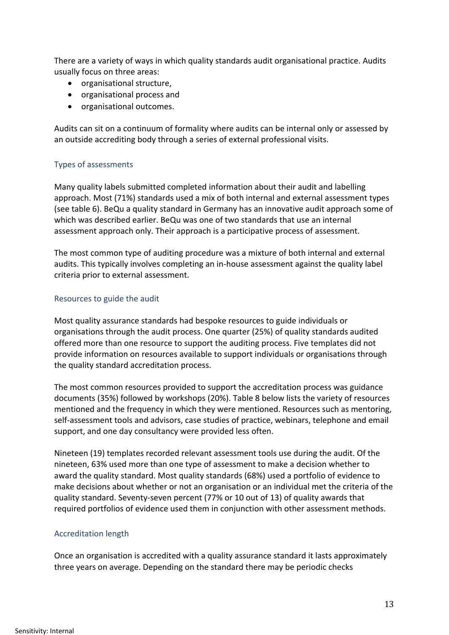There are a variety of ways in which quality standards audit organisational practice. Audits usually focus on three areas:

- organisational structure,
- organisational process and
- organisational outcomes.

Audits can sit on a continuum of formality where audits can be internal only or assessed by an outside accrediting body through a series of external professional visits.

#### Types of assessments

Many quality labels submitted completed information about their audit and labelling approach. Most (71%) standards used a mix of both internal and external assessment types (see table 6). BeQu a quality standard in Germany has an innovative audit approach some of which was described earlier. BeQu was one of two standards that use an internal assessment approach only. Their approach is a participative process of assessment.

The most common type of auditing procedure was a mixture of both internal and external audits. This typically involves completing an in-house assessment against the quality label criteria prior to external assessment.

#### Resources to guide the audit

Most quality assurance standards had bespoke resources to guide individuals or organisations through the audit process. One quarter (25%) of quality standards audited offered more than one resource to support the auditing process. Five templates did not provide information on resources available to support individuals or organisations through the quality standard accreditation process.

The most common resources provided to support the accreditation process was guidance documents (35%) followed by workshops (20%). Table 8 below lists the variety of resources mentioned and the frequency in which they were mentioned. Resources such as mentoring, self-assessment tools and advisors, case studies of practice, webinars, telephone and email support, and one day consultancy were provided less often.

Nineteen (19) templates recorded relevant assessment tools use during the audit. Of the nineteen, 63% used more than one type of assessment to make a decision whether to award the quality standard. Most quality standards (68%) used a portfolio of evidence to make decisions about whether or not an organisation or an individual met the criteria of the quality standard. Seventy-seven percent (77% or 10 out of 13) of quality awards that required portfolios of evidence used them in conjunction with other assessment methods.

#### Accreditation length

Once an organisation is accredited with a quality assurance standard it lasts approximately three years on average. Depending on the standard there may be periodic checks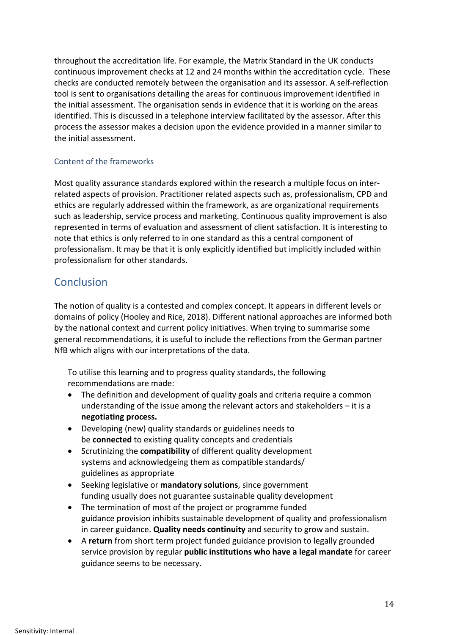throughout the accreditation life. For example, the Matrix Standard in the UK conducts continuous improvement checks at 12 and 24 months within the accreditation cycle. These checks are conducted remotely between the organisation and its assessor. A self-reflection tool is sent to organisations detailing the areas for continuous improvement identified in the initial assessment. The organisation sends in evidence that it is working on the areas identified. This is discussed in a telephone interview facilitated by the assessor. After this process the assessor makes a decision upon the evidence provided in a manner similar to the initial assessment.

#### Content of the frameworks

Most quality assurance standards explored within the research a multiple focus on interrelated aspects of provision. Practitioner related aspects such as, professionalism, CPD and ethics are regularly addressed within the framework, as are organizational requirements such as leadership, service process and marketing. Continuous quality improvement is also represented in terms of evaluation and assessment of client satisfaction. It is interesting to note that ethics is only referred to in one standard as this a central component of professionalism. It may be that it is only explicitly identified but implicitly included within professionalism for other standards.

## **Conclusion**

The notion of quality is a contested and complex concept. It appears in different levels or domains of policy (Hooley and Rice, 2018). Different national approaches are informed both by the national context and current policy initiatives. When trying to summarise some general recommendations, it is useful to include the reflections from the German partner NfB which aligns with our interpretations of the data.

To utilise this learning and to progress quality standards, the following recommendations are made:

- The definition and development of quality goals and criteria require a common understanding of the issue among the relevant actors and stakeholders – it is a **negotiating process.**
- Developing (new) quality standards or guidelines needs to be **connected** to existing quality concepts and credentials
- Scrutinizing the **compatibility** of different quality development systems and acknowledgeing them as compatible standards/ guidelines as appropriate
- Seeking legislative or **mandatory solutions**, since government funding usually does not guarantee sustainable quality development
- The termination of most of the project or programme funded guidance provision inhibits sustainable development of quality and professionalism in career guidance. **Quality needs continuity** and security to grow and sustain.
- A **return** from short term project funded guidance provision to legally grounded service provision by regular **public institutions who have a legal mandate** for career guidance seems to be necessary.